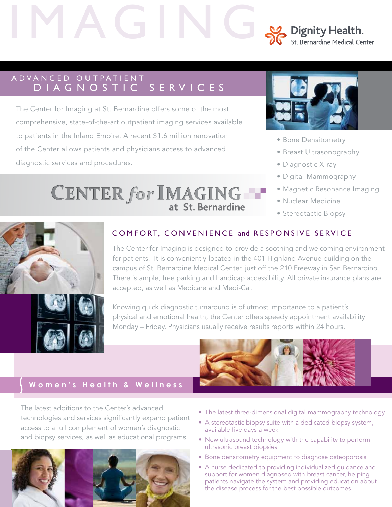# Dignity Health. St. Bernardine Medical Center

# A D V A N C E D O U T P A T I E N T D I A G N O S T I C S E R V I C E S

The Center for Imaging at St. Bernardine offers some of the most comprehensive, state-of-the-art outpatient imaging services available to patients in the Inland Empire. A recent \$1.6 million renovation of the Center allows patients and physicians access to advanced diagnostic services and procedures.

> **CENTER for IMAGING THE** at St. Bernardine



- Bone Densitometry
- Breast Ultrasonography
- Diagnostic X-ray
- Digital Mammography
- Magnetic Resonance Imaging
- Nuclear Medicine
- Stereotactic Biopsy





## COMFORT, CONVENIENCE and RESPONSIVE SERVICE

The Center for Imaging is designed to provide a soothing and welcoming environment for patients. It is conveniently located in the 401 Highland Avenue building on the campus of St. Bernardine Medical Center, just off the 210 Freeway in San Bernardino. There is ample, free parking and handicap accessibility. All private insurance plans are accepted, as well as Medicare and Medi-Cal.

Knowing quick diagnostic turnaround is of utmost importance to a patient's physical and emotional health, the Center offers speedy appointment availability Monday – Friday. Physicians usually receive results reports within 24 hours.

# **Women's Health & Wellness**

The latest additions to the Center's advanced technologies and services significantly expand patient access to a full complement of women's diagnostic and biopsy services, as well as educational programs.



- The latest three-dimensional digital mammography technology
- A stereotactic biopsy suite with a dedicated biopsy system, available five days a week
- New ultrasound technology with the capability to perform ultrasonic breast biopsies
- Bone densitometry equipment to diagnose osteoporosis
- A nurse dedicated to providing individualized guidance and support for women diagnosed with breast cancer, helping patients navigate the system and providing education about the disease process for the best possible outcomes.